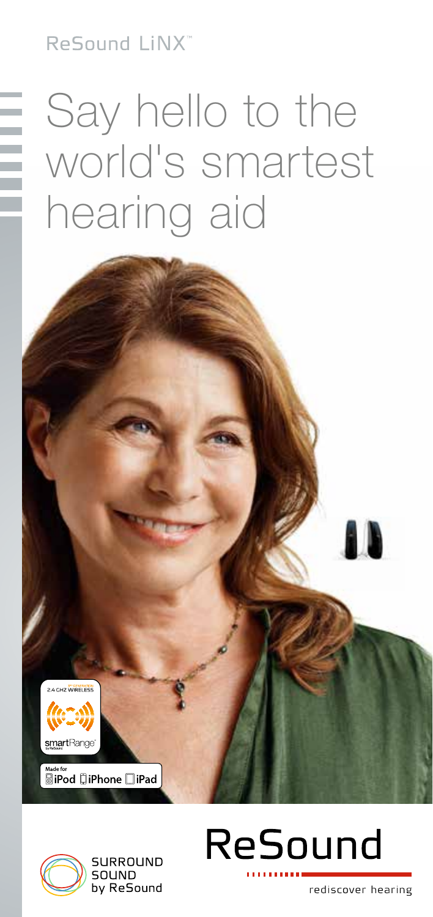ReSound LINX"

## Say hello to the world's smartest hearing aid



™ः<br>**SiPod ∏iPhone □iPad** 





rediscover hearing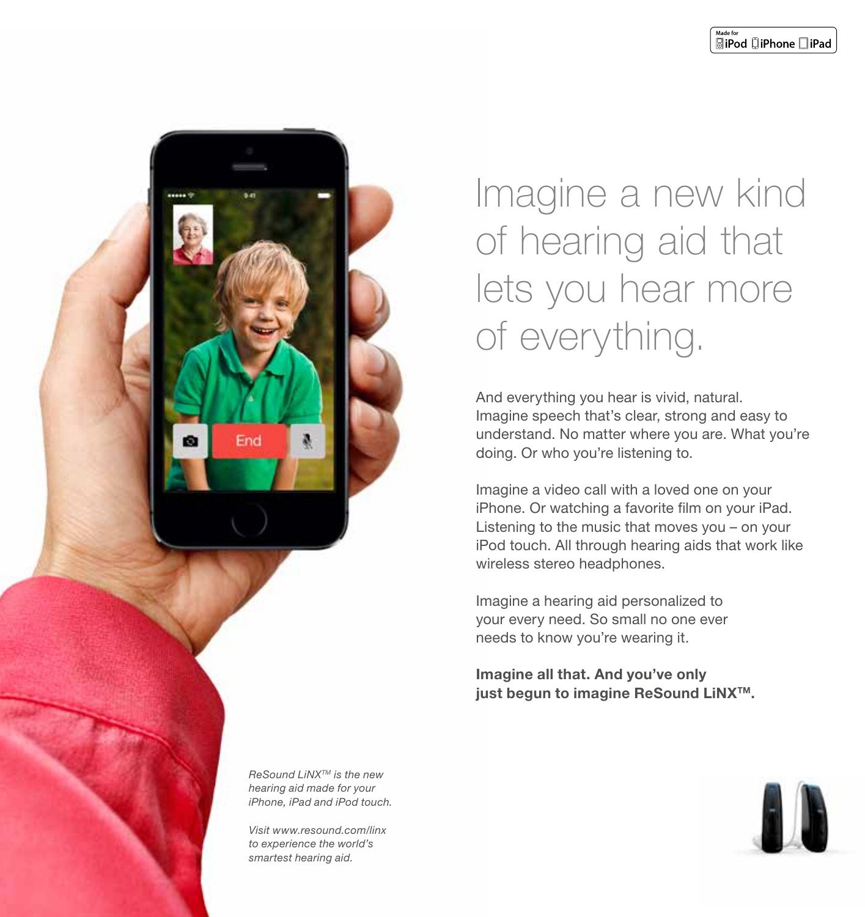

### Imagine a new kind of hearing aid that lets you hear more of everything.

And everything you hear is vivid, natural. Imagine speech that's clear, strong and easy to understand. No matter where you are. What you're doing. Or who you're listening to.

Imagine a video call with a loved one on your iPhone. Or watching a favorite film on your iPad. Listening to the music that moves you – on your iPod touch. All through hearing aids that work like wireless stereo headphones.

Imagine a hearing aid personalized to your every need. So small no one ever needs to know you're wearing it.

Imagine all that. And you've only just begun to imagine ReSound LiNX<sup>™</sup>.

ReSound LiNX™ is the new hearing aid made for your iPhone, iPad and iPod touch.

Visit www.resound.com/linx to experience the world's smartest hearing aid.

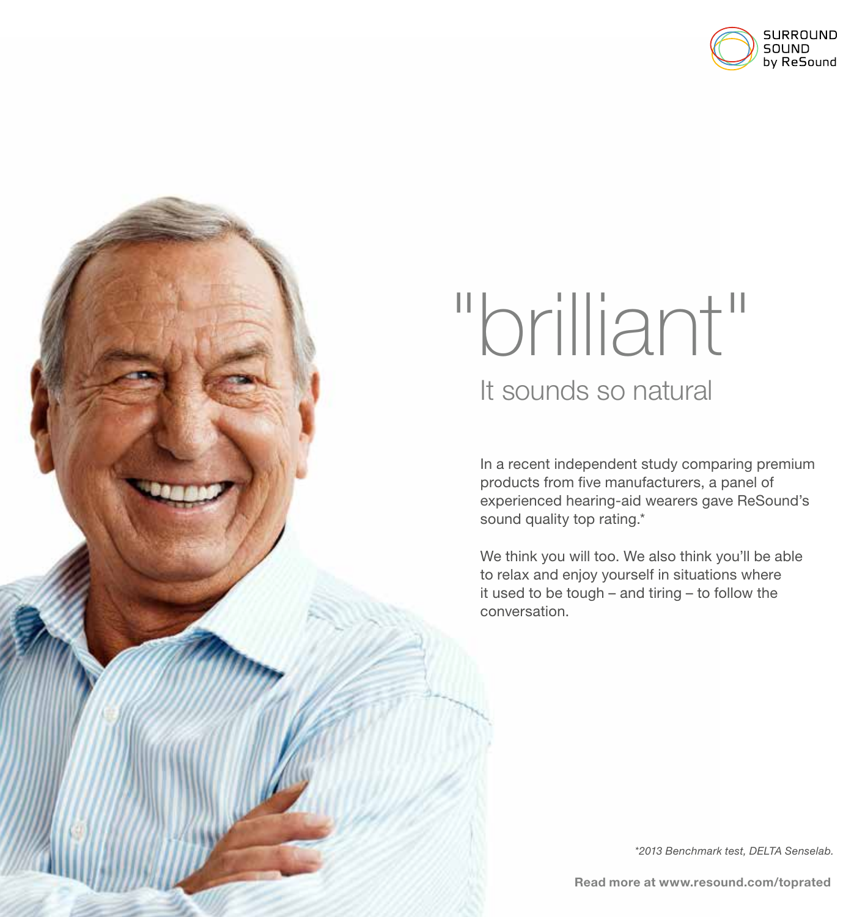

# "brilliant" It sounds so natural

In a recent independent study comparing premium products from five manufacturers, a panel of experienced hearing-aid wearers gave ReSound's sound quality top rating.\*

We think you will too. We also think you'll be able to relax and enjoy yourself in situations where it used to be tough – and tiring – to follow the conversation.

\*2013 Benchmark test, DELTA Senselab.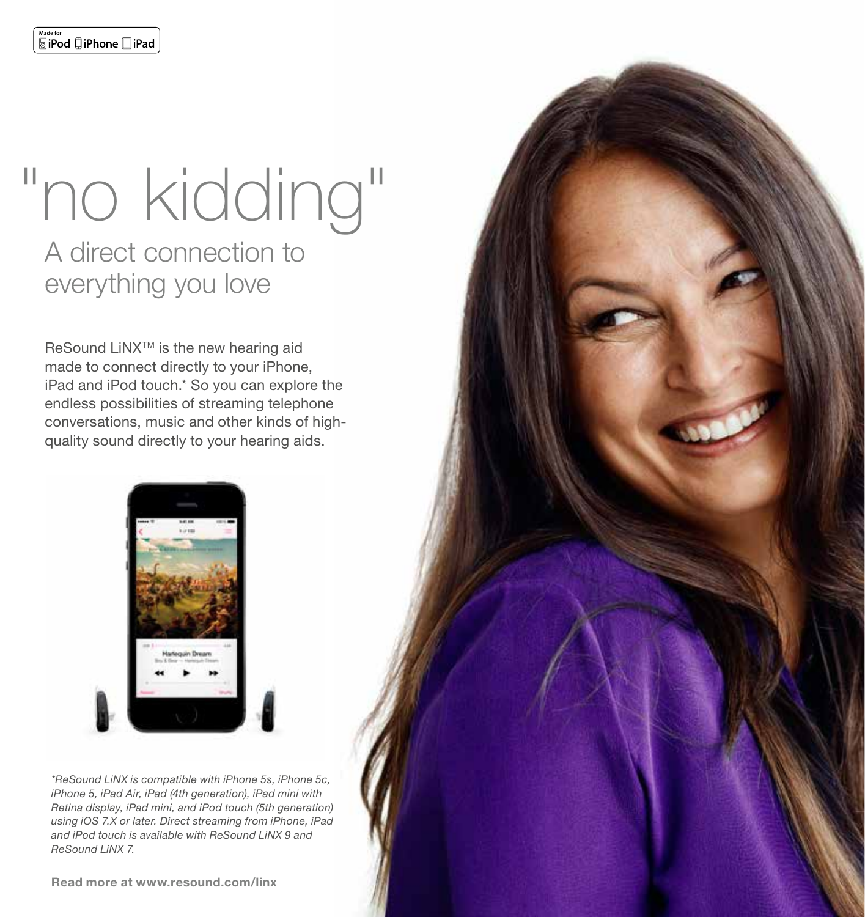### "no kidding" A direct connection to everything you love

ReSound LiNX<sup>™</sup> is the new hearing aid made to connect directly to your iPhone, iPad and iPod touch.\* So you can explore the endless possibilities of streaming telephone conversations, music and other kinds of highquality sound directly to your hearing aids.



\*ReSound LiNX is compatible with iPhone 5s, iPhone 5c, iPhone 5, iPad Air, iPad (4th generation), iPad mini with Retina display, iPad mini, and iPod touch (5th generation) using iOS 7.X or later. Direct streaming from iPhone, iPad and iPod touch is available with ReSound LiNX 9 and ReSound LiNX 7.

Read more at www.resound.com/linx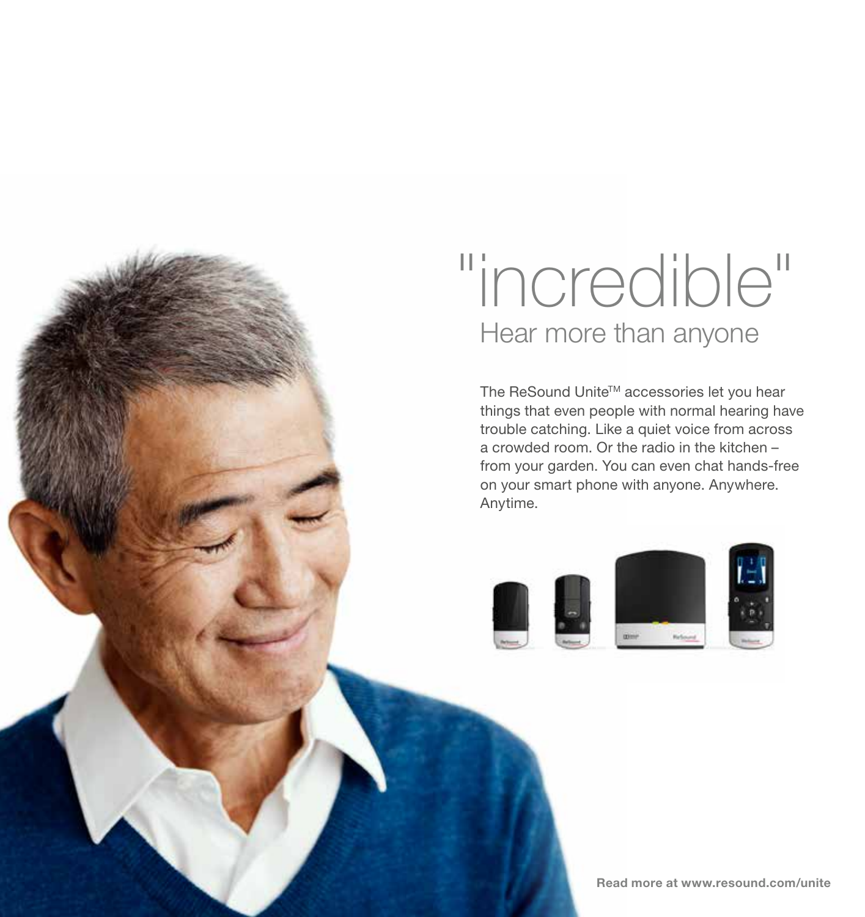## "incredible" Hear more than anyone

The ReSound Unite™ accessories let you hear things that even people with normal hearing have trouble catching. Like a quiet voice from across a crowded room. Or the radio in the kitchen – from your garden. You can even chat hands-free on your smart phone with anyone. Anywhere. Anytime.

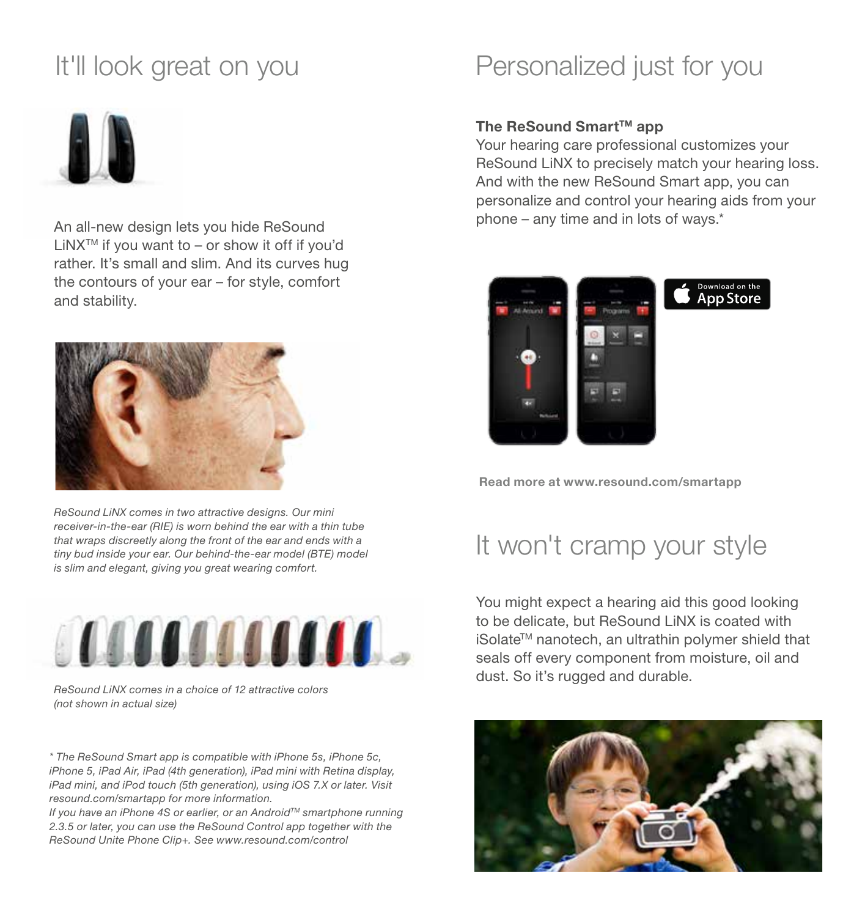### It'll look great on you



An all-new design lets you hide ReSound LiNXTM if you want to – or show it off if you'd rather. It's small and slim. And its curves hug the contours of your ear – for style, comfort and stability.



ReSound LiNX comes in two attractive designs. Our mini receiver-in-the-ear (RIE) is worn behind the ear with a thin tube that wraps discreetly along the front of the ear and ends with a tiny bud inside your ear. Our behind-the-ear model (BTE) model is slim and elegant, giving you great wearing comfort.



ReSound LiNX comes in a choice of 12 attractive colors (not shown in actual size)

\* The ReSound Smart app is compatible with iPhone 5s, iPhone 5c, iPhone 5, iPad Air, iPad (4th generation), iPad mini with Retina display, iPad mini, and iPod touch (5th generation), using iOS 7.X or later. Visit resound.com/smartapp for more information.

If you have an iPhone 4S or earlier, or an Android<sup>TM</sup> smartphone running 2.3.5 or later, you can use the ReSound Control app together with the ReSound Unite Phone Clip+. See www.resound.com/control

### Personalized just for you

#### The ReSound Smart™ app

Your hearing care professional customizes your ReSound LiNX to precisely match your hearing loss. And with the new ReSound Smart app, you can personalize and control your hearing aids from your phone – any time and in lots of ways.\*



Read more at www.resound.com/smartapp

#### It won't cramp your style

You might expect a hearing aid this good looking to be delicate, but ReSound LiNX is coated with iSolate™ nanotech, an ultrathin polymer shield that seals off every component from moisture, oil and dust. So it's rugged and durable.